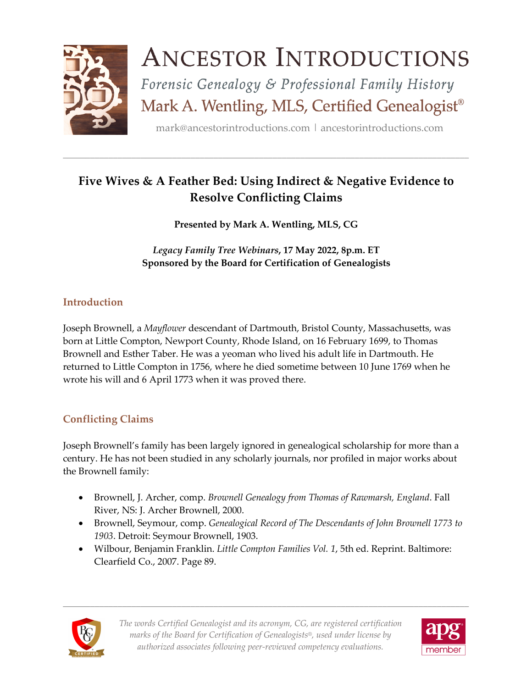

# **ANCESTOR INTRODUCTIONS**

Forensic Genealogy & Professional Family History Mark A. Wentling, MLS, Certified Genealogist®

mark@ancestorintroductions.com | ancestorintroductions.com

## **Five Wives & A Feather Bed: Using Indirect & Negative Evidence to Resolve Conflicting Claims**

\_\_\_\_\_\_\_\_\_\_\_\_\_\_\_\_\_\_\_\_\_\_\_\_\_\_\_\_\_\_\_\_\_\_\_\_\_\_\_\_\_\_\_\_\_\_\_\_\_\_\_\_\_\_\_\_\_\_\_\_\_\_\_\_\_\_\_\_\_\_\_\_\_\_\_\_\_\_\_\_\_\_\_\_\_\_\_\_\_

**Presented by Mark A. Wentling, MLS, CG**

*Legacy Family Tree Webinars***, 17 May 2022, 8p.m. ET Sponsored by the Board for Certification of Genealogists**

## **Introduction**

Joseph Brownell, a *Mayflower* descendant of Dartmouth, Bristol County, Massachusetts, was born at Little Compton, Newport County, Rhode Island, on 16 February 1699, to Thomas Brownell and Esther Taber. He was a yeoman who lived his adult life in Dartmouth. He returned to Little Compton in 1756, where he died sometime between 10 June 1769 when he wrote his will and 6 April 1773 when it was proved there.

## **Conflicting Claims**

Joseph Brownell's family has been largely ignored in genealogical scholarship for more than a century. He has not been studied in any scholarly journals, nor profiled in major works about the Brownell family:

- Brownell, J. Archer, comp. *Brownell Genealogy from Thomas of Rawmarsh, England*. Fall River, NS: J. Archer Brownell, 2000.
- Brownell, Seymour, comp. *Genealogical Record of The Descendants of John Brownell 1773 to 1903*. Detroit: Seymour Brownell, 1903.
- Wilbour, Benjamin Franklin. *Little Compton Families Vol. 1*, 5th ed. Reprint. Baltimore: Clearfield Co., 2007. Page 89.

\_\_\_\_\_\_\_\_\_\_\_\_\_\_\_\_\_\_\_\_\_\_\_\_\_\_\_\_\_\_\_\_\_\_\_\_\_\_\_\_\_\_\_\_\_\_\_\_\_\_\_\_\_\_\_\_\_\_\_\_\_\_\_\_\_\_\_\_\_\_\_\_\_\_\_\_\_\_\_\_\_\_\_\_\_\_\_\_\_



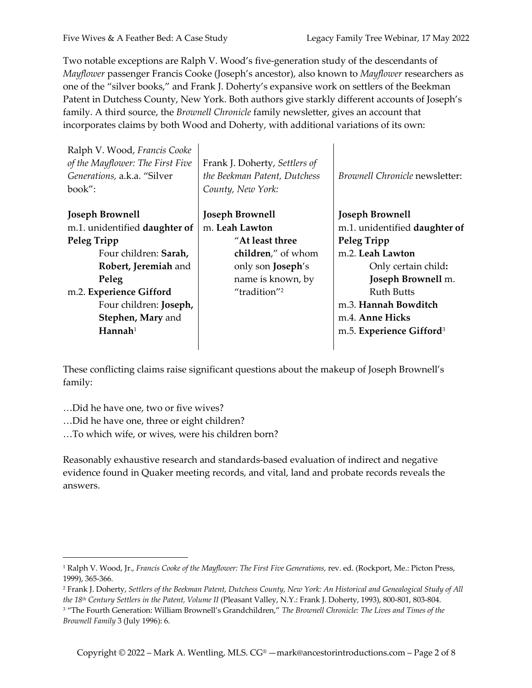Two notable exceptions are Ralph V. Wood's five-generation study of the descendants of *Mayflower* passenger Francis Cooke (Joseph's ancestor), also known to *Mayflower* researchers as one of the "silver books," and Frank J. Doherty's expansive work on settlers of the Beekman Patent in Dutchess County, New York. Both authors give starkly different accounts of Joseph's family. A third source, the *Brownell Chronicle* family newsletter, gives an account that incorporates claims by both Wood and Doherty, with additional variations of its own:

| Ralph V. Wood, Francis Cooke     |                               |                                       |
|----------------------------------|-------------------------------|---------------------------------------|
| of the Mayflower: The First Five | Frank J. Doherty, Settlers of |                                       |
| Generations, a.k.a. "Silver      | the Beekman Patent, Dutchess  | <i>Brownell Chronicle</i> newsletter: |
| $book''$ :                       | County, New York:             |                                       |
|                                  |                               |                                       |
| <b>Joseph Brownell</b>           | <b>Joseph Brownell</b>        | <b>Joseph Brownell</b>                |
| m.1. unidentified daughter of    | m. Leah Lawton                | m.1. unidentified daughter of         |
| Peleg Tripp                      | "At least three"              | Peleg Tripp                           |
| Four children: Sarah,            | children," of whom            | m.2. Leah Lawton                      |
| Robert, Jeremiah and             | only son <b>Joseph's</b>      | Only certain child:                   |
| Peleg                            | name is known, by             | Joseph Brownell m.                    |
| m.2. Experience Gifford          | "tradition" <sup>2</sup>      | <b>Ruth Butts</b>                     |
| Four children: Joseph,           |                               | m.3. Hannah Bowditch                  |
| Stephen, Mary and                |                               | m.4. Anne Hicks                       |
| ${\bf H}$ annah $1$              |                               | m.5. Experience Gifford <sup>3</sup>  |
|                                  |                               |                                       |

These conflicting claims raise significant questions about the makeup of Joseph Brownell's family:

…Did he have one, two or five wives?

…Did he have one, three or eight children?

…To which wife, or wives, were his children born?

Reasonably exhaustive research and standards-based evaluation of indirect and negative evidence found in Quaker meeting records, and vital, land and probate records reveals the answers.

<sup>1</sup> Ralph V. Wood, Jr., *Francis Cooke of the Mayflower: The First Five Generations,* rev. ed. (Rockport, Me.: Picton Press, 1999), 365-366.

<sup>2</sup> Frank J. Doherty, *Settlers of the Beekman Patent, Dutchess County, New York: An Historical and Genealogical Study of All the 18th Century Settlers in the Patent, Volume II* (Pleasant Valley, N.Y.: Frank J. Doherty, 1993), 800-801, 803-804.

<sup>3</sup> "The Fourth Generation: William Brownell's Grandchildren," *The Brownell Chronicle: The Lives and Times of the Brownell Family* 3 (July 1996): 6.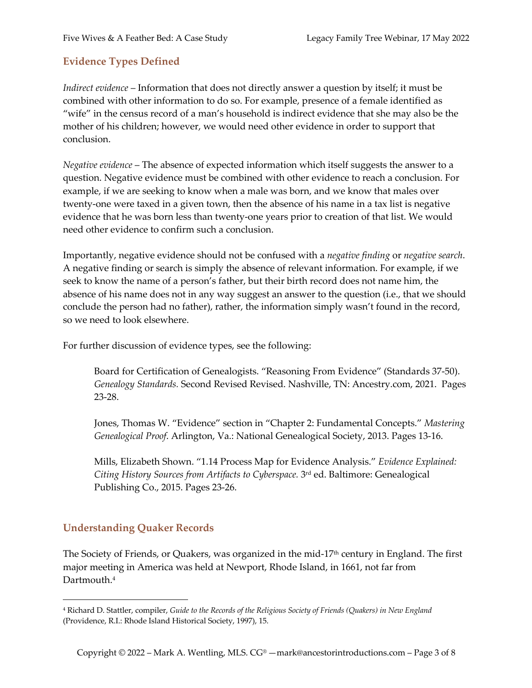## **Evidence Types Defined**

*Indirect evidence* – Information that does not directly answer a question by itself; it must be combined with other information to do so. For example, presence of a female identified as "wife" in the census record of a man's household is indirect evidence that she may also be the mother of his children; however, we would need other evidence in order to support that conclusion.

*Negative evidence* – The absence of expected information which itself suggests the answer to a question. Negative evidence must be combined with other evidence to reach a conclusion. For example, if we are seeking to know when a male was born, and we know that males over twenty-one were taxed in a given town, then the absence of his name in a tax list is negative evidence that he was born less than twenty-one years prior to creation of that list. We would need other evidence to confirm such a conclusion.

Importantly, negative evidence should not be confused with a *negative finding* or *negative search*. A negative finding or search is simply the absence of relevant information. For example, if we seek to know the name of a person's father, but their birth record does not name him, the absence of his name does not in any way suggest an answer to the question (i.e., that we should conclude the person had no father), rather, the information simply wasn't found in the record, so we need to look elsewhere.

For further discussion of evidence types, see the following:

Board for Certification of Genealogists. "Reasoning From Evidence" (Standards 37-50). *Genealogy Standards.* Second Revised Revised. Nashville, TN: Ancestry.com, 2021. Pages 23-28.

Jones, Thomas W. "Evidence" section in "Chapter 2: Fundamental Concepts." *Mastering Genealogical Proof*. Arlington, Va.: National Genealogical Society, 2013. Pages 13-16.

Mills, Elizabeth Shown. "1.14 Process Map for Evidence Analysis." *Evidence Explained: Citing History Sources from Artifacts to Cyberspace.* 3rd ed. Baltimore: Genealogical Publishing Co., 2015. Pages 23-26.

## **Understanding Quaker Records**

The Society of Friends, or Quakers, was organized in the mid-17<sup>th</sup> century in England. The first major meeting in America was held at Newport, Rhode Island, in 1661, not far from Dartmouth.4

<sup>4</sup> Richard D. Stattler, compiler, *Guide to the Records of the Religious Society of Friends (Quakers) in New England* (Providence, R.I.: Rhode Island Historical Society, 1997), 15.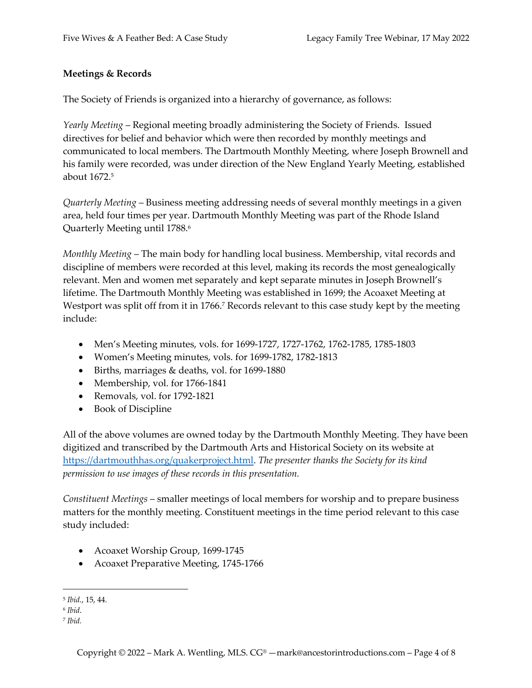#### **Meetings & Records**

The Society of Friends is organized into a hierarchy of governance, as follows:

*Yearly Meeting* – Regional meeting broadly administering the Society of Friends. Issued directives for belief and behavior which were then recorded by monthly meetings and communicated to local members. The Dartmouth Monthly Meeting, where Joseph Brownell and his family were recorded, was under direction of the New England Yearly Meeting, established about 1672.5

*Quarterly Meeting* – Business meeting addressing needs of several monthly meetings in a given area, held four times per year. Dartmouth Monthly Meeting was part of the Rhode Island Quarterly Meeting until 1788.<sup>6</sup>

*Monthly Meeting* – The main body for handling local business. Membership, vital records and discipline of members were recorded at this level, making its records the most genealogically relevant. Men and women met separately and kept separate minutes in Joseph Brownell's lifetime. The Dartmouth Monthly Meeting was established in 1699; the Acoaxet Meeting at Westport was split off from it in 1766.<sup>7</sup> Records relevant to this case study kept by the meeting include:

- Men's Meeting minutes, vols. for 1699-1727, 1727-1762, 1762-1785, 1785-1803
- Women's Meeting minutes, vols. for 1699-1782, 1782-1813
- Births, marriages & deaths, vol. for 1699-1880
- Membership, vol. for 1766-1841
- Removals, vol. for 1792-1821
- Book of Discipline

All of the above volumes are owned today by the Dartmouth Monthly Meeting. They have been digitized and transcribed by the Dartmouth Arts and Historical Society on its website at https://dartmouthhas.org/quakerproject.html. *The presenter thanks the Society for its kind permission to use images of these records in this presentation.*

*Constituent Meetings* – smaller meetings of local members for worship and to prepare business matters for the monthly meeting. Constituent meetings in the time period relevant to this case study included:

- Acoaxet Worship Group, 1699-1745
- Acoaxet Preparative Meeting, 1745-1766

<sup>5</sup> *Ibid.*, 15, 44.

<sup>6</sup> *Ibid*.

<sup>7</sup> *Ibid.*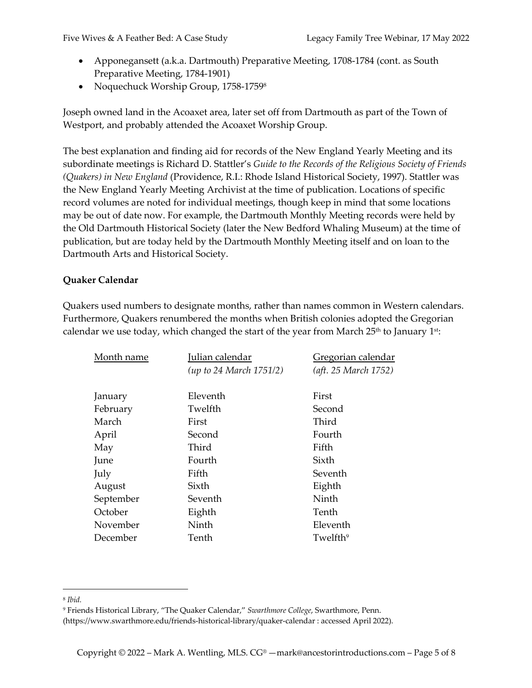- Apponegansett (a.k.a. Dartmouth) Preparative Meeting, 1708-1784 (cont. as South Preparative Meeting, 1784-1901)
- Noquechuck Worship Group, 1758-1759<sup>8</sup>

Joseph owned land in the Acoaxet area, later set off from Dartmouth as part of the Town of Westport, and probably attended the Acoaxet Worship Group.

The best explanation and finding aid for records of the New England Yearly Meeting and its subordinate meetings is Richard D. Stattler's *Guide to the Records of the Religious Society of Friends (Quakers) in New England* (Providence, R.I.: Rhode Island Historical Society, 1997). Stattler was the New England Yearly Meeting Archivist at the time of publication. Locations of specific record volumes are noted for individual meetings, though keep in mind that some locations may be out of date now. For example, the Dartmouth Monthly Meeting records were held by the Old Dartmouth Historical Society (later the New Bedford Whaling Museum) at the time of publication, but are today held by the Dartmouth Monthly Meeting itself and on loan to the Dartmouth Arts and Historical Society.

#### **Quaker Calendar**

Quakers used numbers to designate months, rather than names common in Western calendars. Furthermore, Quakers renumbered the months when British colonies adopted the Gregorian calendar we use today, which changed the start of the year from March  $25<sup>th</sup>$  to January  $1<sup>st</sup>$ :

| Month name | Julian calendar         | Gregorian calendar   |
|------------|-------------------------|----------------------|
|            | (up to 24 March 1751/2) | (aft. 25 March 1752) |
|            |                         |                      |
| January    | Eleventh                | First                |
| February   | Twelfth                 | Second               |
| March      | First                   | Third                |
| April      | Second                  | Fourth               |
| May        | Third                   | Fifth                |
| June       | Fourth                  | Sixth                |
| July       | Fifth                   | Seventh              |
| August     | Sixth                   | Eighth               |
| September  | Seventh                 | Ninth                |
| October    | Eighth                  | Tenth                |
| November   | Ninth                   | Eleventh             |
| December   | Tenth                   | Twelfth <sup>9</sup> |
|            |                         |                      |

<sup>8</sup> *Ibid.*

<sup>9</sup> Friends Historical Library, "The Quaker Calendar," *Swarthmore College*, Swarthmore, Penn.

<sup>(</sup>https://www.swarthmore.edu/friends-historical-library/quaker-calendar : accessed April 2022).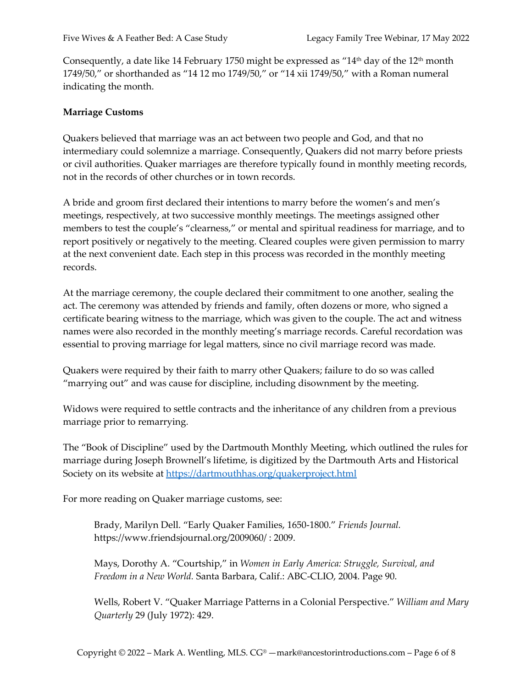Consequently, a date like 14 February 1750 might be expressed as "14<sup>th</sup> day of the 12<sup>th</sup> month 1749/50," or shorthanded as "14 12 mo 1749/50," or "14 xii 1749/50," with a Roman numeral indicating the month.

#### **Marriage Customs**

Quakers believed that marriage was an act between two people and God, and that no intermediary could solemnize a marriage. Consequently, Quakers did not marry before priests or civil authorities. Quaker marriages are therefore typically found in monthly meeting records, not in the records of other churches or in town records.

A bride and groom first declared their intentions to marry before the women's and men's meetings, respectively, at two successive monthly meetings. The meetings assigned other members to test the couple's "clearness," or mental and spiritual readiness for marriage, and to report positively or negatively to the meeting. Cleared couples were given permission to marry at the next convenient date. Each step in this process was recorded in the monthly meeting records.

At the marriage ceremony, the couple declared their commitment to one another, sealing the act. The ceremony was attended by friends and family, often dozens or more, who signed a certificate bearing witness to the marriage, which was given to the couple. The act and witness names were also recorded in the monthly meeting's marriage records. Careful recordation was essential to proving marriage for legal matters, since no civil marriage record was made.

Quakers were required by their faith to marry other Quakers; failure to do so was called "marrying out" and was cause for discipline, including disownment by the meeting.

Widows were required to settle contracts and the inheritance of any children from a previous marriage prior to remarrying.

The "Book of Discipline" used by the Dartmouth Monthly Meeting, which outlined the rules for marriage during Joseph Brownell's lifetime, is digitized by the Dartmouth Arts and Historical Society on its website at https://dartmouthhas.org/quakerproject.html

For more reading on Quaker marriage customs, see:

Brady, Marilyn Dell. "Early Quaker Families, 1650-1800." *Friends Journal.* https://www.friendsjournal.org/2009060/ : 2009.

Mays, Dorothy A. "Courtship," in *Women in Early America: Struggle, Survival, and Freedom in a New World.* Santa Barbara, Calif.: ABC-CLIO, 2004. Page 90.

Wells, Robert V. "Quaker Marriage Patterns in a Colonial Perspective." *William and Mary Quarterly* 29 (July 1972): 429.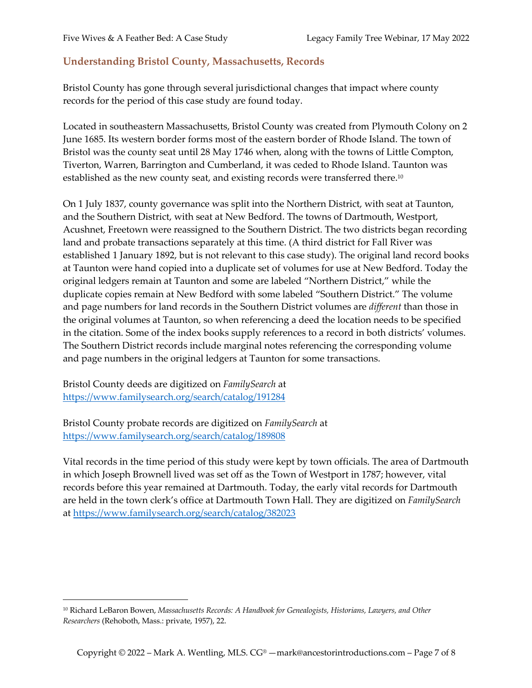#### **Understanding Bristol County, Massachusetts, Records**

Bristol County has gone through several jurisdictional changes that impact where county records for the period of this case study are found today.

Located in southeastern Massachusetts, Bristol County was created from Plymouth Colony on 2 June 1685. Its western border forms most of the eastern border of Rhode Island. The town of Bristol was the county seat until 28 May 1746 when, along with the towns of Little Compton, Tiverton, Warren, Barrington and Cumberland, it was ceded to Rhode Island. Taunton was established as the new county seat, and existing records were transferred there.10

On 1 July 1837, county governance was split into the Northern District, with seat at Taunton, and the Southern District, with seat at New Bedford. The towns of Dartmouth, Westport, Acushnet, Freetown were reassigned to the Southern District. The two districts began recording land and probate transactions separately at this time. (A third district for Fall River was established 1 January 1892, but is not relevant to this case study). The original land record books at Taunton were hand copied into a duplicate set of volumes for use at New Bedford. Today the original ledgers remain at Taunton and some are labeled "Northern District," while the duplicate copies remain at New Bedford with some labeled "Southern District." The volume and page numbers for land records in the Southern District volumes are *different* than those in the original volumes at Taunton, so when referencing a deed the location needs to be specified in the citation. Some of the index books supply references to a record in both districts' volumes. The Southern District records include marginal notes referencing the corresponding volume and page numbers in the original ledgers at Taunton for some transactions.

Bristol County deeds are digitized on *FamilySearch* at https://www.familysearch.org/search/catalog/191284

Bristol County probate records are digitized on *FamilySearch* at https://www.familysearch.org/search/catalog/189808

Vital records in the time period of this study were kept by town officials. The area of Dartmouth in which Joseph Brownell lived was set off as the Town of Westport in 1787; however, vital records before this year remained at Dartmouth. Today, the early vital records for Dartmouth are held in the town clerk's office at Dartmouth Town Hall. They are digitized on *FamilySearch* at https://www.familysearch.org/search/catalog/382023

<sup>10</sup> Richard LeBaron Bowen, *Massachusetts Records: A Handbook for Genealogists, Historians, Lawyers, and Other Researchers* (Rehoboth, Mass.: private, 1957), 22.